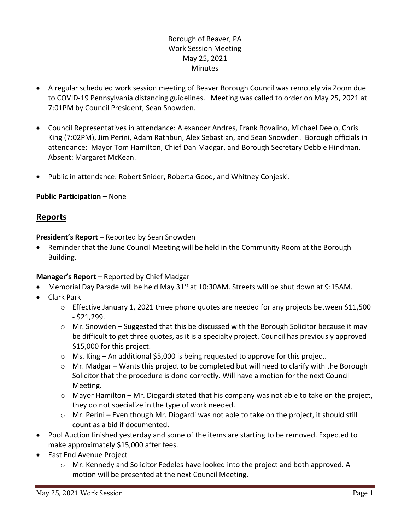# Borough of Beaver, PA Work Session Meeting May 25, 2021 Minutes

- A regular scheduled work session meeting of Beaver Borough Council was remotely via Zoom due to COVID-19 Pennsylvania distancing guidelines. Meeting was called to order on May 25, 2021 at 7:01PM by Council President, Sean Snowden.
- Council Representatives in attendance: Alexander Andres, Frank Bovalino, Michael Deelo, Chris King (7:02PM), Jim Perini, Adam Rathbun, Alex Sebastian, and Sean Snowden. Borough officials in attendance: Mayor Tom Hamilton, Chief Dan Madgar, and Borough Secretary Debbie Hindman. Absent: Margaret McKean.
- Public in attendance: Robert Snider, Roberta Good, and Whitney Conjeski.

## **Public Participation –** None

# **Reports**

**President's Report –** Reported by Sean Snowden

• Reminder that the June Council Meeting will be held in the Community Room at the Borough Building.

## **Manager's Report –** Reported by Chief Madgar

- Memorial Day Parade will be held May 31<sup>st</sup> at 10:30AM. Streets will be shut down at 9:15AM.
- Clark Park
	- o Effective January 1, 2021 three phone quotes are needed for any projects between \$11,500 - \$21,299.
	- $\circ$  Mr. Snowden Suggested that this be discussed with the Borough Solicitor because it may be difficult to get three quotes, as it is a specialty project. Council has previously approved \$15,000 for this project.
	- $\circ$  Ms. King An additional \$5,000 is being requested to approve for this project.
	- o Mr. Madgar Wants this project to be completed but will need to clarify with the Borough Solicitor that the procedure is done correctly. Will have a motion for the next Council Meeting.
	- $\circ$  Mayor Hamilton Mr. Diogardi stated that his company was not able to take on the project, they do not specialize in the type of work needed.
	- $\circ$  Mr. Perini Even though Mr. Diogardi was not able to take on the project, it should still count as a bid if documented.
- Pool Auction finished yesterday and some of the items are starting to be removed. Expected to make approximately \$15,000 after fees.
- East End Avenue Project
	- o Mr. Kennedy and Solicitor Fedeles have looked into the project and both approved. A motion will be presented at the next Council Meeting.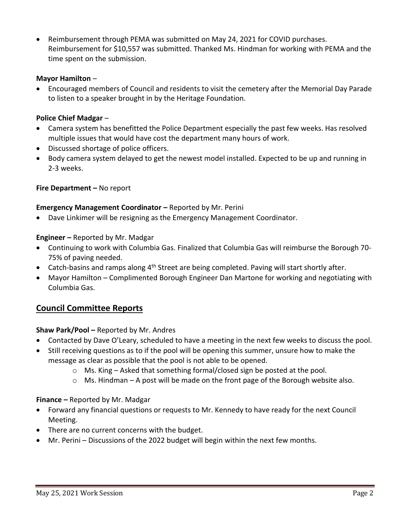Reimbursement through PEMA was submitted on May 24, 2021 for COVID purchases. Reimbursement for \$10,557 was submitted. Thanked Ms. Hindman for working with PEMA and the time spent on the submission.

### **Mayor Hamilton** –

 Encouraged members of Council and residents to visit the cemetery after the Memorial Day Parade to listen to a speaker brought in by the Heritage Foundation.

## **Police Chief Madgar** –

- Camera system has benefitted the Police Department especially the past few weeks. Has resolved multiple issues that would have cost the department many hours of work.
- Discussed shortage of police officers.
- Body camera system delayed to get the newest model installed. Expected to be up and running in 2-3 weeks.

## **Fire Department –** No report

#### **Emergency Management Coordinator –** Reported by Mr. Perini

Dave Linkimer will be resigning as the Emergency Management Coordinator.

## **Engineer –** Reported by Mr. Madgar

- Continuing to work with Columbia Gas. Finalized that Columbia Gas will reimburse the Borough 70- 75% of paving needed.
- Catch-basins and ramps along  $4<sup>th</sup>$  Street are being completed. Paving will start shortly after.
- Mayor Hamilton Complimented Borough Engineer Dan Martone for working and negotiating with Columbia Gas.

# **Council Committee Reports**

#### **Shaw Park/Pool –** Reported by Mr. Andres

- Contacted by Dave O'Leary, scheduled to have a meeting in the next few weeks to discuss the pool.
- Still receiving questions as to if the pool will be opening this summer, unsure how to make the message as clear as possible that the pool is not able to be opened.
	- $\circ$  Ms. King Asked that something formal/closed sign be posted at the pool.
	- o Ms. Hindman A post will be made on the front page of the Borough website also.

#### **Finance –** Reported by Mr. Madgar

- Forward any financial questions or requests to Mr. Kennedy to have ready for the next Council Meeting.
- There are no current concerns with the budget.
- Mr. Perini Discussions of the 2022 budget will begin within the next few months.